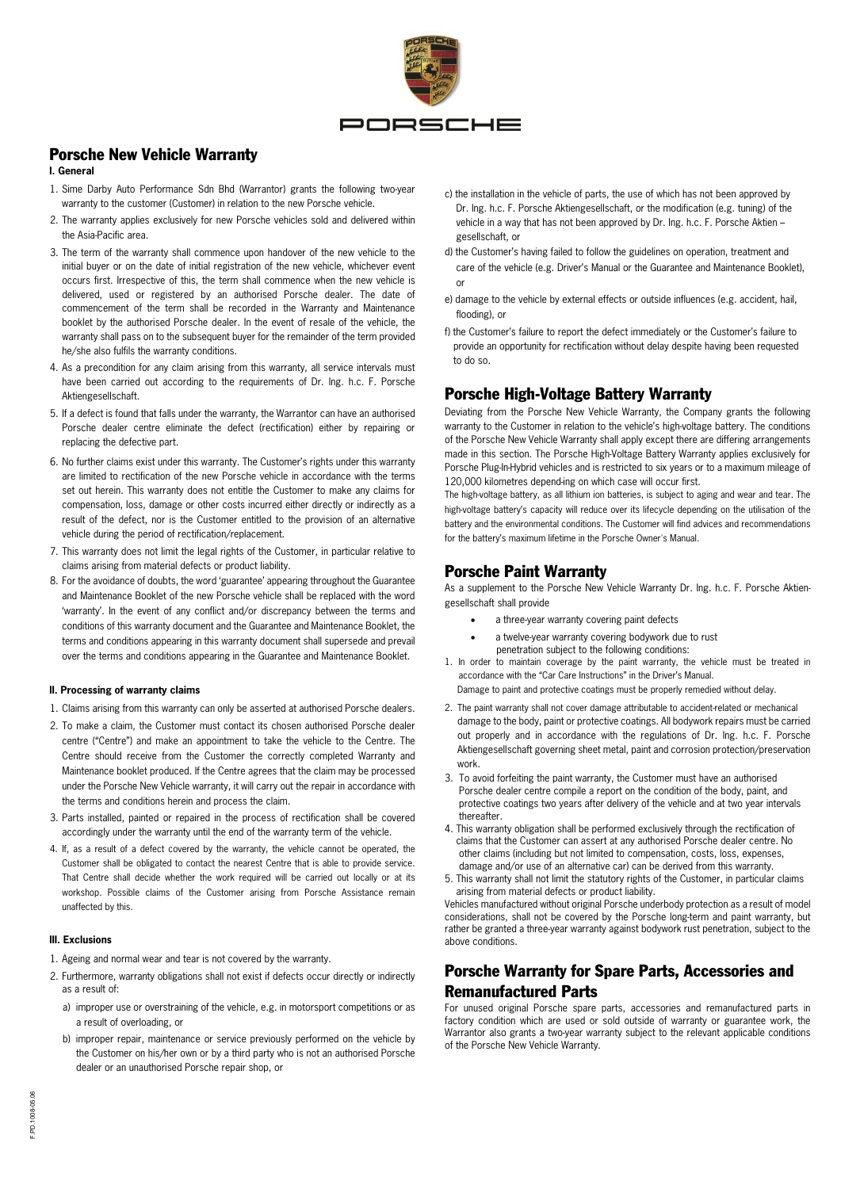

# Porsche New Vehicle Warranty

#### **I. General**

- 1. Sime Darby Auto Performance Sdn Bhd (Warrantor) grants the following two-year warranty to the customer (Customer) in relation to the new Porsche vehicle.
- 2. The warranty applies exclusively for new Porsche vehicles sold and delivered within the Asia-Pacific area.
- 3. The term of the warranty shall commence upon handover of the new vehicle to the initial buyer or on the date of initial registration of the new vehicle, whichever event occurs first. Irrespective of this, the term shall commence when the new vehicle is delivered, used or registered by an authorised Porsche dealer. The date of commencement of the term shall be recorded in the Warranty and Maintenance booklet by the authorised Porsche dealer. In the event of resale of the vehicle, the warranty shall pass on to the subsequent buyer for the remainder of the term provided he/she also fulfils the warranty conditions.
- 4. As a precondition for any claim arising from this warranty, all service intervals must have been carried out according to the requirements of Dr. Ing. h.c. F. Porsche Aktiengesellschaft.
- 5. If a defect is found that falls under the warranty, the Warrantor can have an authorised Porsche dealer centre eliminate the defect (rectification) either by repairing or replacing the defective part.
- 6. No further claims exist under this warranty. The Customer's rights under this warranty are limited to rectification of the new Porsche vehicle in accordance with the terms set out herein. This warranty does not entitle the Customer to make any claims for compensation, loss, damage or other costs incurred either directly or indirectly as a result of the defect, nor is the Customer entitled to the provision of an alternative vehicle during the period of rectification/replacement.
- 7. This warranty does not limit the legal rights of the Customer, in particular relative to claims arising from material defects or product liability.
- 8. For the avoidance of doubts, the word 'guarantee' appearing throughout the Guarantee and Maintenance Booklet of the new Porsche vehicle shall be replaced with the word 'warranty'. In the event of any conflict and/or discrepancy between the terms and conditions of this warranty document and the Guarantee and Maintenance Booklet, the terms and conditions appearing in this warranty document shall supersede and prevail over the terms and conditions appearing in the Guarantee and Maintenance Booklet.

#### **II. Processing of warranty claims**

- 1. Claims arising from this warranty can only be asserted at authorised Porsche dealers.
- 2. To make a claim, the Customer must contact its chosen authorised Porsche dealer centre ("Centre") and make an appointment to take the vehicle to the Centre. The Centre should receive from the Customer the correctly completed Warranty and Maintenance booklet produced. If the Centre agrees that the claim may be processed under the Porsche New Vehicle warranty, it will carry out the repair in accordance with the terms and conditions herein and process the claim.
- 3. Parts installed, painted or repaired in the process of rectification shall be covered accordingly under the warranty until the end of the warranty term of the vehicle.
- 4. If, as a result of a defect covered by the warranty, the vehicle cannot be operated, the Customer shall be obligated to contact the nearest Centre that is able to provide service. That Centre shall decide whether the work required will be carried out locally or at its workshop. Possible claims of the Customer arising from Porsche Assistance remain unaffected by this.

#### **III. Exclusions**

- 1. Ageing and normal wear and tear is not covered by the warranty.
- 2. Furthermore, warranty obligations shall not exist if defects occur directly or indirectly as a result of:
	- a) improper use or overstraining of the vehicle, e.g. in motorsport competitions or as a result of overloading, or
	- b) improper repair, maintenance or service previously performed on the vehicle by the Customer on his/her own or by a third party who is not an authorised Porsche dealer or an unauthorised Porsche repair shop, or
- c) the installation in the vehicle of parts, the use of which has not been approved by Dr. Ing. h.c. F. Porsche Aktiengesellschaft, or the modification (e.g. tuning) of the vehicle in a way that has not been approved by Dr. Ing. h.c. F. Porsche Aktien – gesellschaft, or
- d) the Customer's having failed to follow the guidelines on operation, treatment and care of the vehicle (e.g. Driver's Manual or the Guarantee and Maintenance Booklet), or
- e) damage to the vehicle by external effects or outside influences (e.g. accident, hail, flooding), or
- f) the Customer's failure to report the defect immediately or the Customer's failure to provide an opportunity for rectification without delay despite having been requested to do so.

### Porsche High-Voltage Battery Warranty

Deviating from the Porsche New Vehicle Warranty, the Company grants the following warranty to the Customer in relation to the vehicle's high-voltage battery. The conditions of the Porsche New Vehicle Warranty shall apply except there are differing arrangements made in this section. The Porsche High-Voltage Battery Warranty applies exclusively for Porsche Plug-In-Hybrid vehicles and is restricted to six years or to a maximum mileage of 120,000 kilometres depend-ing on which case will occur first.

The high-voltage battery, as all lithium ion batteries, is subject to aging and wear and tear. The high-voltage battery's capacity will reduce over its lifecycle depending on the utilisation of the battery and the environmental conditions. The Customer will find advices and recommendations for the battery's maximum lifetime in the Porsche Owner's Manual.

### Porsche Paint Warranty

As a supplement to the Porsche New Vehicle Warranty Dr. Ing. h.c. F. Porsche Aktiengesellschaft shall provide

- a three-year warranty covering paint defects
- a twelve-year warranty covering bodywork due to rust penetration subject to the following conditions:
- 1. In order to maintain coverage by the paint warranty, the vehicle must be treated in accordance with the "Car Care Instructions" in the Driver's Manual.
- Damage to paint and protective coatings must be properly remedied without delay.
- 2. The paint warranty shall not cover damage attributable to accident-related or mechanical damage to the body, paint or protective coatings. All bodywork repairs must be carried out properly and in accordance with the regulations of Dr. Ing. h.c. F. Porsche Aktiengesellschaft governing sheet metal, paint and corrosion protection/preservation work.
- 3. To avoid forfeiting the paint warranty, the Customer must have an authorised Porsche dealer centre compile a report on the condition of the body, paint, and protective coatings two years after delivery of the vehicle and at two year intervals thereafter.
- 4. This warranty obligation shall be performed exclusively through the rectification of claims that the Customer can assert at any authorised Porsche dealer centre. No other claims (including but not limited to compensation, costs, loss, expenses, damage and/or use of an alternative car) can be derived from this warranty.
- 5. This warranty shall not limit the statutory rights of the Customer, in particular claims arising from material defects or product liability.

Vehicles manufactured without original Porsche underbody protection as a result of model considerations, shall not be covered by the Porsche long-term and paint warranty, but rather be granted a three-year warranty against bodywork rust penetration, subject to the above conditions.

# Porsche Warranty for Spare Parts, Accessories and Remanufactured Parts

For unused original Porsche spare parts, accessories and remanufactured parts in factory condition which are used or sold outside of warranty or guarantee work, the Warrantor also grants a two-year warranty subject to the relevant applicable conditions of the Porsche New Vehicle Warranty.